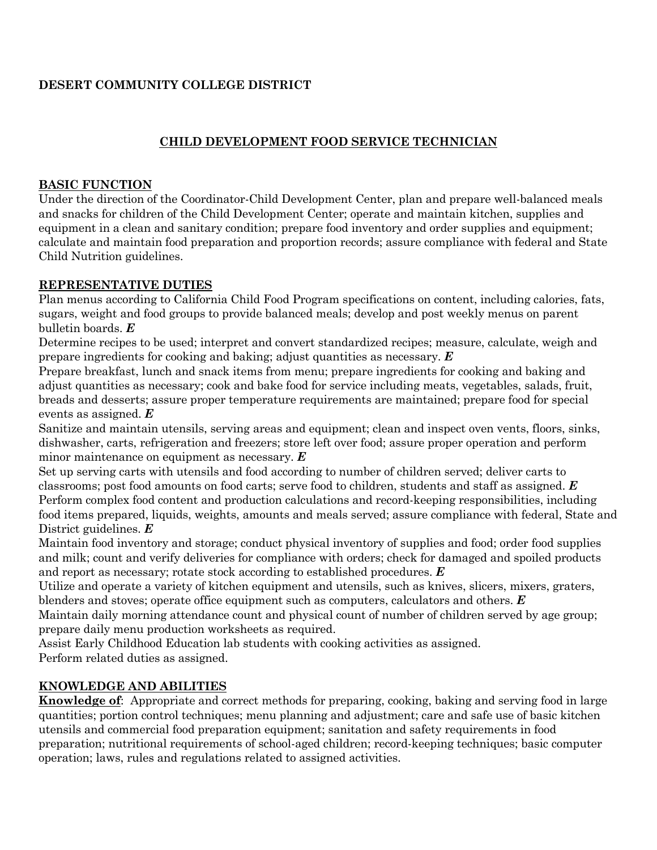# **DESERT COMMUNITY COLLEGE DISTRICT**

### **CHILD DEVELOPMENT FOOD SERVICE TECHNICIAN**

#### **BASIC FUNCTION**

Under the direction of the Coordinator-Child Development Center, plan and prepare well-balanced meals and snacks for children of the Child Development Center; operate and maintain kitchen, supplies and equipment in a clean and sanitary condition; prepare food inventory and order supplies and equipment; calculate and maintain food preparation and proportion records; assure compliance with federal and State Child Nutrition guidelines.

#### **REPRESENTATIVE DUTIES**

Plan menus according to California Child Food Program specifications on content, including calories, fats, sugars, weight and food groups to provide balanced meals; develop and post weekly menus on parent bulletin boards. *E*

Determine recipes to be used; interpret and convert standardized recipes; measure, calculate, weigh and prepare ingredients for cooking and baking; adjust quantities as necessary. *E*

Prepare breakfast, lunch and snack items from menu; prepare ingredients for cooking and baking and adjust quantities as necessary; cook and bake food for service including meats, vegetables, salads, fruit, breads and desserts; assure proper temperature requirements are maintained; prepare food for special events as assigned. *E*

Sanitize and maintain utensils, serving areas and equipment; clean and inspect oven vents, floors, sinks, dishwasher, carts, refrigeration and freezers; store left over food; assure proper operation and perform minor maintenance on equipment as necessary. *E*

Set up serving carts with utensils and food according to number of children served; deliver carts to classrooms; post food amounts on food carts; serve food to children, students and staff as assigned. *E* Perform complex food content and production calculations and record-keeping responsibilities, including food items prepared, liquids, weights, amounts and meals served; assure compliance with federal, State and District guidelines. *E*

Maintain food inventory and storage; conduct physical inventory of supplies and food; order food supplies and milk; count and verify deliveries for compliance with orders; check for damaged and spoiled products and report as necessary; rotate stock according to established procedures. *E*

Utilize and operate a variety of kitchen equipment and utensils, such as knives, slicers, mixers, graters, blenders and stoves; operate office equipment such as computers, calculators and others. *E*

Maintain daily morning attendance count and physical count of number of children served by age group; prepare daily menu production worksheets as required.

Assist Early Childhood Education lab students with cooking activities as assigned. Perform related duties as assigned.

### **KNOWLEDGE AND ABILITIES**

**Knowledge of**: Appropriate and correct methods for preparing, cooking, baking and serving food in large quantities; portion control techniques; menu planning and adjustment; care and safe use of basic kitchen utensils and commercial food preparation equipment; sanitation and safety requirements in food preparation; nutritional requirements of school-aged children; record-keeping techniques; basic computer operation; laws, rules and regulations related to assigned activities.